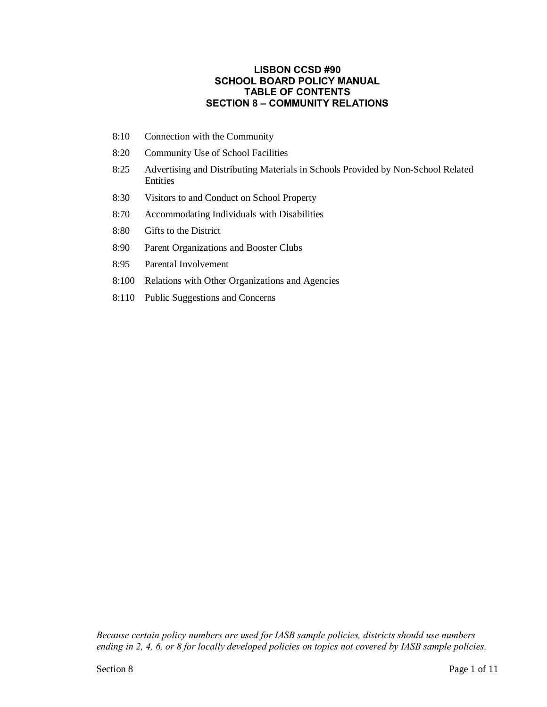## **LISBON CCSD #90 SCHOOL BOARD POLICY MANUAL TABLE OF CONTENTS SECTION 8 – COMMUNITY RELATIONS**

- 8:10 Connection with the Community
- 8:20 Community Use of School Facilities
- 8:25 Advertising and Distributing Materials in Schools Provided by Non-School Related Entities
- 8:30 Visitors to and Conduct on School Property
- 8:70 Accommodating Individuals with Disabilities
- 8:80 Gifts to the District
- 8:90 Parent Organizations and Booster Clubs
- 8:95 Parental Involvement
- 8:100 Relations with Other Organizations and Agencies
- 8:110 Public Suggestions and Concerns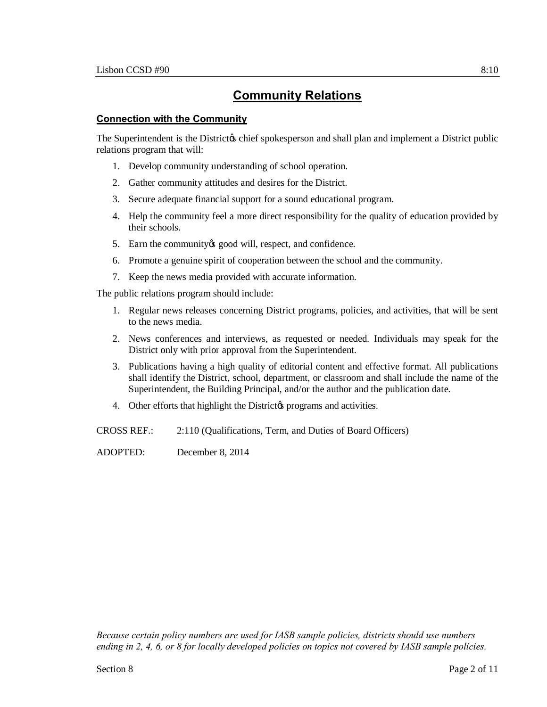### **Connection with the Community**

The Superintendent is the District is chief spokesperson and shall plan and implement a District public relations program that will:

- 1. Develop community understanding of school operation.
- 2. Gather community attitudes and desires for the District.
- 3. Secure adequate financial support for a sound educational program.
- 4. Help the community feel a more direct responsibility for the quality of education provided by their schools.
- 5. Earn the community is good will, respect, and confidence.
- 6. Promote a genuine spirit of cooperation between the school and the community.
- 7. Keep the news media provided with accurate information.

The public relations program should include:

- 1. Regular news releases concerning District programs, policies, and activities, that will be sent to the news media.
- 2. News conferences and interviews, as requested or needed. Individuals may speak for the District only with prior approval from the Superintendent.
- 3. Publications having a high quality of editorial content and effective format. All publications shall identify the District, school, department, or classroom and shall include the name of the Superintendent, the Building Principal, and/or the author and the publication date.
- 4. Other efforts that highlight the District programs and activities.

CROSS REF.: 2:110 (Qualifications, Term, and Duties of Board Officers)

ADOPTED: December 8, 2014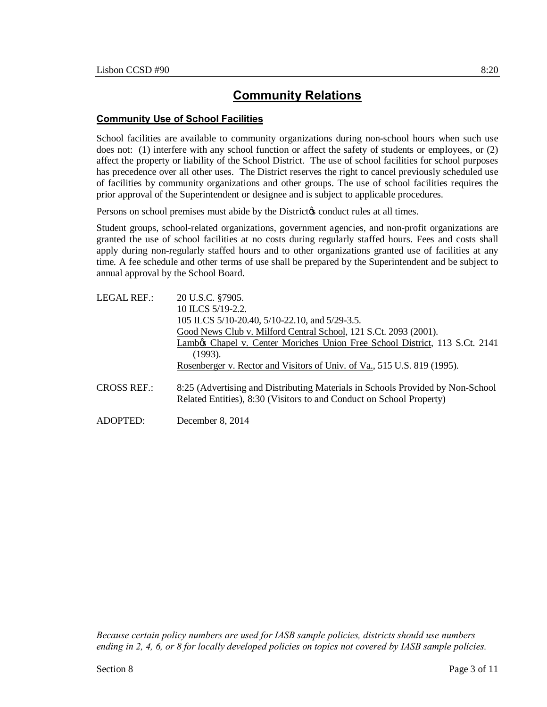## **Community Use of School Facilities**

School facilities are available to community organizations during non-school hours when such use does not: (1) interfere with any school function or affect the safety of students or employees, or (2) affect the property or liability of the School District. The use of school facilities for school purposes has precedence over all other uses. The District reserves the right to cancel previously scheduled use of facilities by community organizations and other groups. The use of school facilities requires the prior approval of the Superintendent or designee and is subject to applicable procedures.

Persons on school premises must abide by the District to conduct rules at all times.

Student groups, school-related organizations, government agencies, and non-profit organizations are granted the use of school facilities at no costs during regularly staffed hours. Fees and costs shall apply during non-regularly staffed hours and to other organizations granted use of facilities at any time. A fee schedule and other terms of use shall be prepared by the Superintendent and be subject to annual approval by the School Board.

| LEGAL REF.:        | 20 U.S.C. §7905.                                                                                                                                       |
|--------------------|--------------------------------------------------------------------------------------------------------------------------------------------------------|
|                    | 10 ILCS 5/19-2.2.                                                                                                                                      |
|                    | 105 ILCS 5/10-20.40, 5/10-22.10, and 5/29-3.5.                                                                                                         |
|                    | Good News Club v. Milford Central School, 121 S.Ct. 2093 (2001).                                                                                       |
|                    | Lambos Chapel v. Center Moriches Union Free School District, 113 S.Ct. 2141                                                                            |
|                    | (1993).                                                                                                                                                |
|                    | Rosenberger v. Rector and Visitors of Univ. of Va., 515 U.S. 819 (1995).                                                                               |
| <b>CROSS REF.:</b> | 8:25 (Advertising and Distributing Materials in Schools Provided by Non-School<br>Related Entities), 8:30 (Visitors to and Conduct on School Property) |
| ADOPTED:           | December 8, 2014                                                                                                                                       |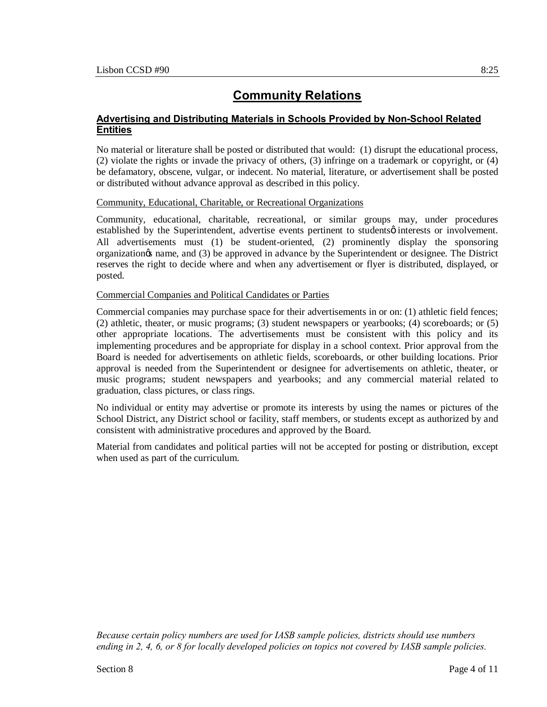## **Advertising and Distributing Materials in Schools Provided by Non-School Related Entities**

No material or literature shall be posted or distributed that would: (1) disrupt the educational process, (2) violate the rights or invade the privacy of others, (3) infringe on a trademark or copyright, or (4) be defamatory, obscene, vulgar, or indecent. No material, literature, or advertisement shall be posted or distributed without advance approval as described in this policy.

### Community, Educational, Charitable, or Recreational Organizations

Community, educational, charitable, recreational, or similar groups may, under procedures established by the Superintendent, advertise events pertinent to studentsø interests or involvement. All advertisements must (1) be student-oriented, (2) prominently display the sponsoring organization's name, and (3) be approved in advance by the Superintendent or designee. The District reserves the right to decide where and when any advertisement or flyer is distributed, displayed, or posted.

### Commercial Companies and Political Candidates or Parties

Commercial companies may purchase space for their advertisements in or on: (1) athletic field fences; (2) athletic, theater, or music programs; (3) student newspapers or yearbooks; (4) scoreboards; or (5) other appropriate locations. The advertisements must be consistent with this policy and its implementing procedures and be appropriate for display in a school context. Prior approval from the Board is needed for advertisements on athletic fields, scoreboards, or other building locations. Prior approval is needed from the Superintendent or designee for advertisements on athletic, theater, or music programs; student newspapers and yearbooks; and any commercial material related to graduation, class pictures, or class rings.

No individual or entity may advertise or promote its interests by using the names or pictures of the School District, any District school or facility, staff members, or students except as authorized by and consistent with administrative procedures and approved by the Board.

Material from candidates and political parties will not be accepted for posting or distribution, except when used as part of the curriculum.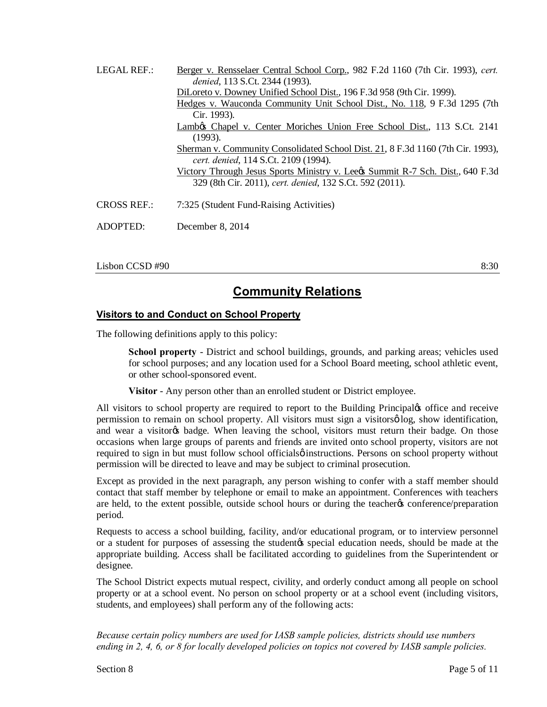| LEGAL REF.:        | Berger v. Rensselaer Central School Corp., 982 F.2d 1160 (7th Cir. 1993), cert.<br>denied, 113 S.Ct. 2344 (1993). |
|--------------------|-------------------------------------------------------------------------------------------------------------------|
|                    | DiLoreto v. Downey Unified School Dist., 196 F.3d 958 (9th Cir. 1999).                                            |
|                    | Hedges v. Wauconda Community Unit School Dist., No. 118, 9 F.3d 1295 (7th                                         |
|                    | Cir. 1993).                                                                                                       |
|                    | Lambøs Chapel v. Center Moriches Union Free School Dist., 113 S.Ct. 2141                                          |
|                    | (1993).                                                                                                           |
|                    | Sherman v. Community Consolidated School Dist. 21, 8 F.3d 1160 (7th Cir. 1993),                                   |
|                    | cert. denied, 114 S.Ct. 2109 (1994).                                                                              |
|                    | <u>Victory Through Jesus Sports Ministry v. Lee &amp; Summit R-7 Sch. Dist., 640 F.3d</u>                         |
|                    | 329 (8th Cir. 2011), cert. denied, 132 S.Ct. 592 (2011).                                                          |
| <b>CROSS REF.:</b> | 7:325 (Student Fund-Raising Activities)                                                                           |
| ADOPTED:           | December $8, 2014$                                                                                                |

 $\sim$  8:30 8:30

## **Community Relations**

## **Visitors to and Conduct on School Property**

The following definitions apply to this policy:

**School property** - District and school buildings, grounds, and parking areas; vehicles used for school purposes; and any location used for a School Board meeting, school athletic event, or other school-sponsored event.

**Visitor** - Any person other than an enrolled student or District employee.

All visitors to school property are required to report to the Building Principal $\alpha$  office and receive permission to remain on school property. All visitors must sign a visitors  $\phi$  log, show identification, and wear a visitorgs badge. When leaving the school, visitors must return their badge. On those occasions when large groups of parents and friends are invited onto school property, visitors are not required to sign in but must follow school officials  $\phi$  instructions. Persons on school property without permission will be directed to leave and may be subject to criminal prosecution.

Except as provided in the next paragraph, any person wishing to confer with a staff member should contact that staff member by telephone or email to make an appointment. Conferences with teachers are held, to the extent possible, outside school hours or during the teachergs conference/preparation period.

Requests to access a school building, facility, and/or educational program, or to interview personnel or a student for purposes of assessing the student to special education needs, should be made at the appropriate building. Access shall be facilitated according to guidelines from the Superintendent or designee.

The School District expects mutual respect, civility, and orderly conduct among all people on school property or at a school event. No person on school property or at a school event (including visitors, students, and employees) shall perform any of the following acts: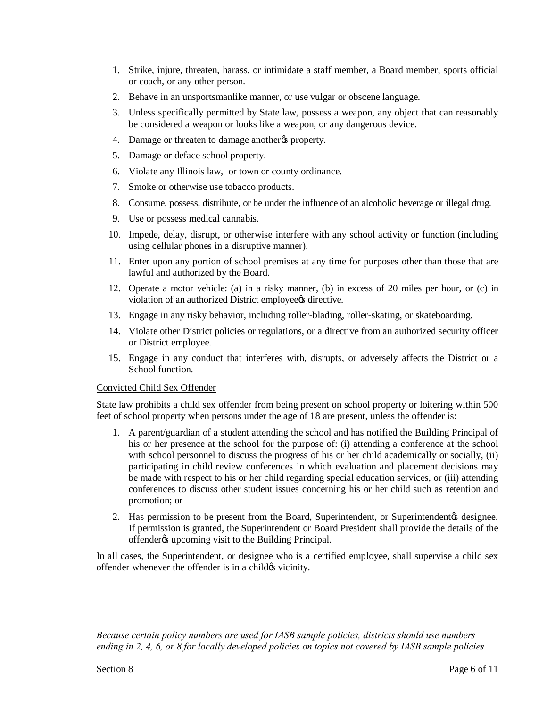- 1. Strike, injure, threaten, harass, or intimidate a staff member, a Board member, sports official or coach, or any other person.
- 2. Behave in an unsportsmanlike manner, or use vulgar or obscene language.
- 3. Unless specifically permitted by State law, possess a weapon, any object that can reasonably be considered a weapon or looks like a weapon, or any dangerous device.
- 4. Damage or threaten to damage another the property.
- 5. Damage or deface school property.
- 6. Violate any Illinois law, or town or county ordinance.
- 7. Smoke or otherwise use tobacco products.
- 8. Consume, possess, distribute, or be under the influence of an alcoholic beverage or illegal drug.
- 9. Use or possess medical cannabis.
- 10. Impede, delay, disrupt, or otherwise interfere with any school activity or function (including using cellular phones in a disruptive manner).
- 11. Enter upon any portion of school premises at any time for purposes other than those that are lawful and authorized by the Board.
- 12. Operate a motor vehicle: (a) in a risky manner, (b) in excess of 20 miles per hour, or (c) in violation of an authorized District employees directive.
- 13. Engage in any risky behavior, including roller-blading, roller-skating, or skateboarding.
- 14. Violate other District policies or regulations, or a directive from an authorized security officer or District employee.
- 15. Engage in any conduct that interferes with, disrupts, or adversely affects the District or a School function.

#### Convicted Child Sex Offender

State law prohibits a child sex offender from being present on school property or loitering within 500 feet of school property when persons under the age of 18 are present, unless the offender is:

- 1. A parent/guardian of a student attending the school and has notified the Building Principal of his or her presence at the school for the purpose of: (i) attending a conference at the school with school personnel to discuss the progress of his or her child academically or socially, (ii) participating in child review conferences in which evaluation and placement decisions may be made with respect to his or her child regarding special education services, or (iii) attending conferences to discuss other student issues concerning his or her child such as retention and promotion; or
- 2. Has permission to be present from the Board, Superintendent, or Superintendent  $\alpha$  designee. If permission is granted, the Superintendent or Board President shall provide the details of the offender *is* upcoming visit to the Building Principal.

In all cases, the Superintendent, or designee who is a certified employee, shall supervise a child sex offender whenever the offender is in a child  $\alpha$  vicinity.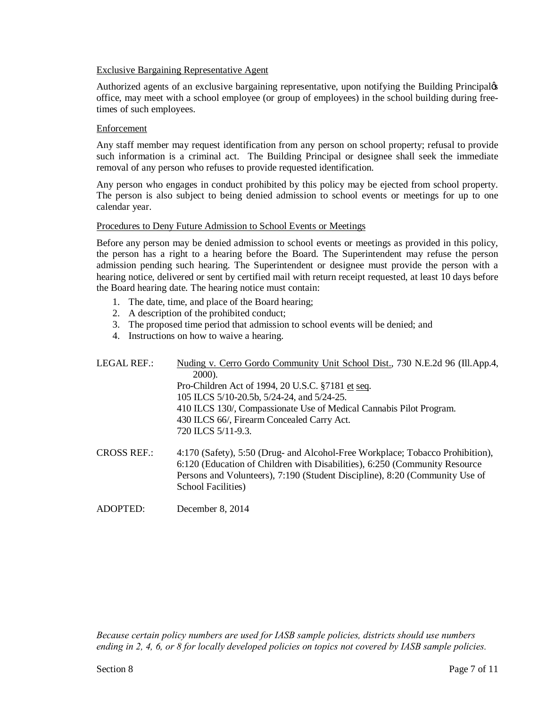#### Exclusive Bargaining Representative Agent

Authorized agents of an exclusive bargaining representative, upon notifying the Building Principalos office, may meet with a school employee (or group of employees) in the school building during freetimes of such employees.

#### Enforcement

Any staff member may request identification from any person on school property; refusal to provide such information is a criminal act. The Building Principal or designee shall seek the immediate removal of any person who refuses to provide requested identification.

Any person who engages in conduct prohibited by this policy may be ejected from school property. The person is also subject to being denied admission to school events or meetings for up to one calendar year.

#### Procedures to Deny Future Admission to School Events or Meetings

Before any person may be denied admission to school events or meetings as provided in this policy, the person has a right to a hearing before the Board. The Superintendent may refuse the person admission pending such hearing. The Superintendent or designee must provide the person with a hearing notice, delivered or sent by certified mail with return receipt requested, at least 10 days before the Board hearing date. The hearing notice must contain:

- 1. The date, time, and place of the Board hearing;
- 2. A description of the prohibited conduct;
- 3. The proposed time period that admission to school events will be denied; and
- 4. Instructions on how to waive a hearing.

| <b>LEGAL REF.:</b> | Nuding v. Cerro Gordo Community Unit School Dist., 730 N.E.2d 96 (Ill.App.4,<br>2000).                                                                                                                                                                                   |
|--------------------|--------------------------------------------------------------------------------------------------------------------------------------------------------------------------------------------------------------------------------------------------------------------------|
|                    | Pro-Children Act of 1994, 20 U.S.C. §7181 et seq.                                                                                                                                                                                                                        |
|                    | 105 ILCS 5/10-20.5b, 5/24-24, and 5/24-25.                                                                                                                                                                                                                               |
|                    | 410 ILCS 130/, Compassionate Use of Medical Cannabis Pilot Program.                                                                                                                                                                                                      |
|                    | 430 ILCS 66/, Firearm Concealed Carry Act.                                                                                                                                                                                                                               |
|                    | 720 ILCS 5/11-9.3.                                                                                                                                                                                                                                                       |
| <b>CROSS REF.:</b> | 4:170 (Safety), 5:50 (Drug- and Alcohol-Free Workplace; Tobacco Prohibition),<br>6:120 (Education of Children with Disabilities), 6:250 (Community Resource<br>Persons and Volunteers), 7:190 (Student Discipline), 8:20 (Community Use of<br><b>School Facilities</b> ) |

ADOPTED: December 8, 2014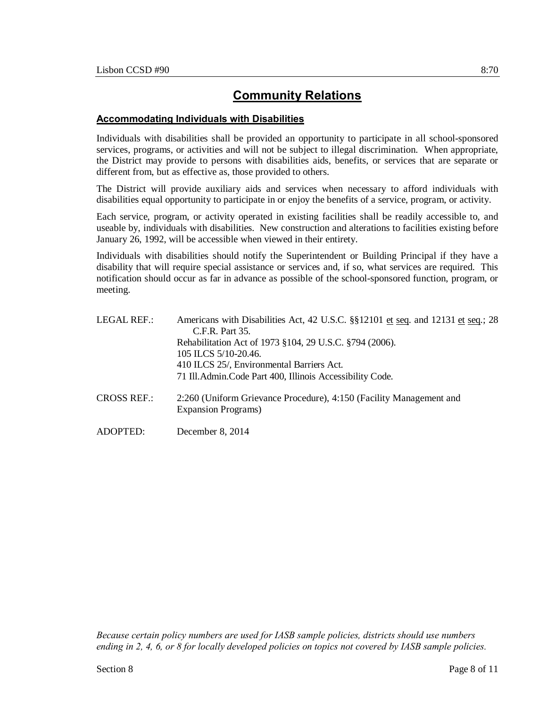### **Accommodating Individuals with Disabilities**

Individuals with disabilities shall be provided an opportunity to participate in all school-sponsored services, programs, or activities and will not be subject to illegal discrimination. When appropriate, the District may provide to persons with disabilities aids, benefits, or services that are separate or different from, but as effective as, those provided to others.

The District will provide auxiliary aids and services when necessary to afford individuals with disabilities equal opportunity to participate in or enjoy the benefits of a service, program, or activity.

Each service, program, or activity operated in existing facilities shall be readily accessible to, and useable by, individuals with disabilities. New construction and alterations to facilities existing before January 26, 1992, will be accessible when viewed in their entirety.

Individuals with disabilities should notify the Superintendent or Building Principal if they have a disability that will require special assistance or services and, if so, what services are required. This notification should occur as far in advance as possible of the school-sponsored function, program, or meeting.

| Americans with Disabilities Act, 42 U.S.C. §§12101 et seq. and 12131 et seq.; 28<br>C.F.R. Part 35. |
|-----------------------------------------------------------------------------------------------------|
| Rehabilitation Act of 1973 §104, 29 U.S.C. §794 (2006).                                             |
| 105 ILCS 5/10-20.46.                                                                                |
| 410 ILCS 25/, Environmental Barriers Act.                                                           |
| 71 Ill. Admin. Code Part 400, Illinois Accessibility Code.                                          |
| 2:260 (Uniform Grievance Procedure), 4:150 (Facility Management and<br><b>Expansion Programs</b> )  |
|                                                                                                     |

ADOPTED: December 8, 2014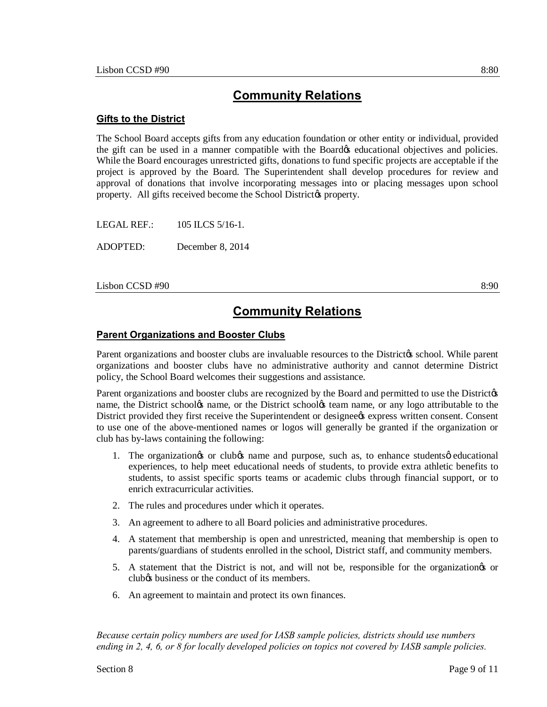#### **Gifts to the District**

The School Board accepts gifts from any education foundation or other entity or individual, provided the gift can be used in a manner compatible with the Board teducational objectives and policies. While the Board encourages unrestricted gifts, donations to fund specific projects are acceptable if the project is approved by the Board. The Superintendent shall develop procedures for review and approval of donations that involve incorporating messages into or placing messages upon school property. All gifts received become the School District to property.

LEGAL REF.: 105 ILCS 5/16-1.

ADOPTED: December 8, 2014

 $\sim$  8:90 8:90 8:90

## **Community Relations**

#### **Parent Organizations and Booster Clubs**

Parent organizations and booster clubs are invaluable resources to the Districtos school. While parent organizations and booster clubs have no administrative authority and cannot determine District policy, the School Board welcomes their suggestions and assistance.

Parent organizations and booster clubs are recognized by the Board and permitted to use the Districtøs name, the District schoolos name, or the District schoolos team name, or any logo attributable to the District provided they first receive the Superintendent or designees express written consent. Consent to use one of the above-mentioned names or logos will generally be granted if the organization or club has by-laws containing the following:

- 1. The organizationgs or clubgs name and purpose, such as, to enhance studentsg educational experiences, to help meet educational needs of students, to provide extra athletic benefits to students, to assist specific sports teams or academic clubs through financial support, or to enrich extracurricular activities.
- 2. The rules and procedures under which it operates.
- 3. An agreement to adhere to all Board policies and administrative procedures.
- 4. A statement that membership is open and unrestricted, meaning that membership is open to parents/guardians of students enrolled in the school, District staff, and community members.
- 5. A statement that the District is not, and will not be, responsible for the organization's or club<sub>/8</sub> business or the conduct of its members.
- 6. An agreement to maintain and protect its own finances.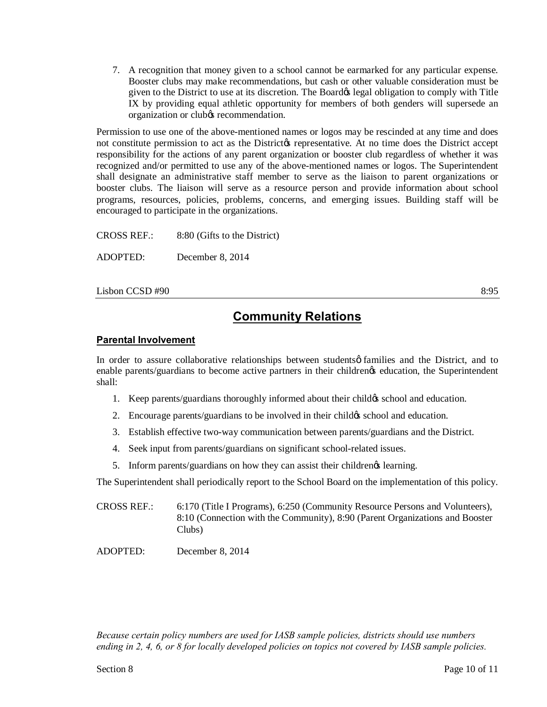7. A recognition that money given to a school cannot be earmarked for any particular expense. Booster clubs may make recommendations, but cash or other valuable consideration must be given to the District to use at its discretion. The Board obligation to comply with Title IX by providing equal athletic opportunity for members of both genders will supersede an organization or club $\alpha$  recommendation.

Permission to use one of the above-mentioned names or logos may be rescinded at any time and does not constitute permission to act as the District ts representative. At no time does the District accept responsibility for the actions of any parent organization or booster club regardless of whether it was recognized and/or permitted to use any of the above-mentioned names or logos. The Superintendent shall designate an administrative staff member to serve as the liaison to parent organizations or booster clubs. The liaison will serve as a resource person and provide information about school programs, resources, policies, problems, concerns, and emerging issues. Building staff will be encouraged to participate in the organizations.

CROSS REF.: 8:80 (Gifts to the District) ADOPTED: December 8, 2014

 $\sim$  8:95 8:95

## **Community Relations**

## **Parental Involvement**

In order to assure collaborative relationships between students  $\phi$  families and the District, and to enable parents/guardians to become active partners in their childrengs education, the Superintendent shall:

- 1. Keep parents/guardians thoroughly informed about their child ts school and education.
- 2. Encourage parents/guardians to be involved in their child of school and education.
- 3. Establish effective two-way communication between parents/guardians and the District.
- 4. Seek input from parents/guardians on significant school-related issues.
- 5. Inform parents/guardians on how they can assist their childrengs learning.

The Superintendent shall periodically report to the School Board on the implementation of this policy.

CROSS REF.: 6:170 (Title I Programs), 6:250 (Community Resource Persons and Volunteers), 8:10 (Connection with the Community), 8:90 (Parent Organizations and Booster Clubs)

ADOPTED: December 8, 2014